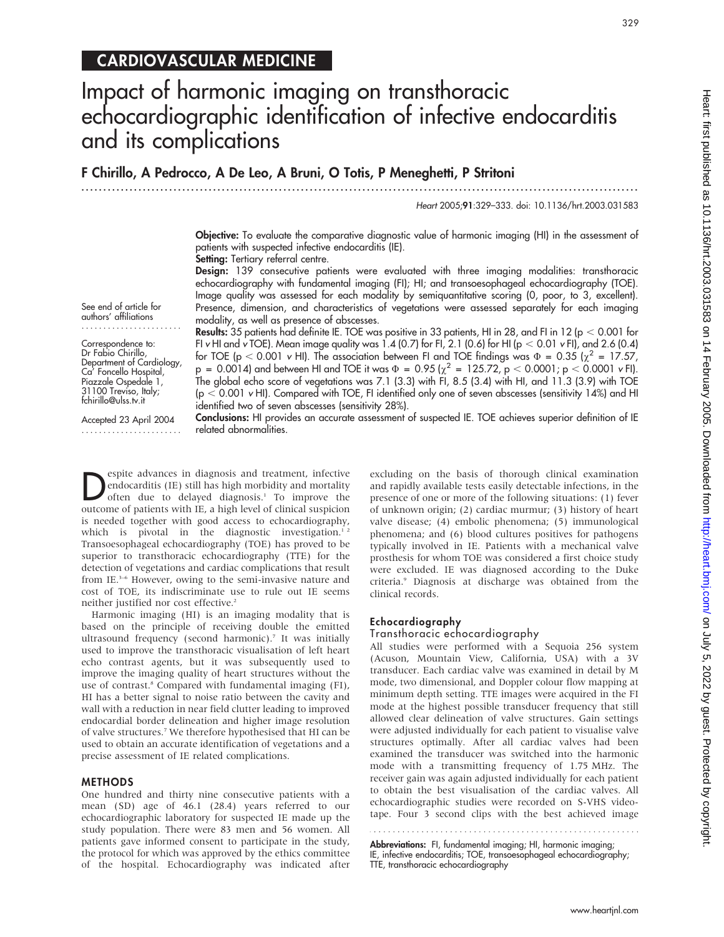# CARDIOVASCULAR MEDICINE

# Impact of harmonic imaging on transthoracic echocardiographic identification of infective endocarditis and its complications

F Chirillo, A Pedrocco, A De Leo, A Bruni, O Totis, P Meneghetti, P Stritoni

...............................................................................................................................

Heart 2005;91:329–333. doi: 10.1136/hrt.2003.031583

329

Objective: To evaluate the comparative diagnostic value of harmonic imaging (HI) in the assessment of patients with suspected infective endocarditis (IE).

Setting: Tertiary referral centre.

Design: 139 consecutive patients were evaluated with three imaging modalities: transthoracic echocardiography with fundamental imaging (FI); HI; and transoesophageal echocardiography (TOE). Image quality was assessed for each modality by semiquantitative scoring (0, poor, to 3, excellent). Presence, dimension, and characteristics of vegetations were assessed separately for each imaging modality, as well as presence of abscesses.

See end of article for authors' affiliations .......................

Correspondence to: Dr Fabio Chirillo, Department of Cardiology, Ca' Foncello Hospital, Piazzale Ospedale 1, 31100 Treviso, Italy; fchirillo@ulss.tv.it

Results: 35 patients had definite IE. TOE was positive in 33 patients, HI in 28, and FI in 12 (p  $<$  0.001 for FI v HI and v TOE). Mean image quality was 1.4 (0.7) for FI, 2.1 (0.6) for HI (p < 0.01 v FI), and 2.6 (0.4) for TOE (p < 0.001 v HI). The association between FI and TOE findings was  $\Phi = 0.35$  ( $\chi^2 = 17.57$ ,  $p = 0.0014$ ) and between HI and TOE it was  $\Phi = 0.95 \left( \chi^2 = 125.72, p < 0.0001, p < 0.0001 \right)$  v FI). The global echo score of vegetations was 7.1 (3.3) with FI, 8.5 (3.4) with HI, and 11.3 (3.9) with TOE  $(p < 0.001 v$  HI). Compared with TOE, FI identified only one of seven abscesses (sensitivity 14%) and HI identified two of seven abscesses (sensitivity 28%).

Accepted 23 April 2004 ....................... Conclusions: HI provides an accurate assessment of suspected IE. TOE achieves superior definition of IE related abnormalities.

Sepite advances in diagnosis and treatment, infective<br>endocarditis (IE) still has high morbidity and mortality<br>often due to delayed diagnosis.<sup>1</sup> To improve the<br>entroped for the Labinburgh of clinical curvicion endocarditis (IE) still has high morbidity and mortality often due to delayed diagnosis.<sup>1</sup> To improve the outcome of patients with IE, a high level of clinical suspicion is needed together with good access to echocardiography, which is pivotal in the diagnostic investigation. $12$ Transoesophageal echocardiography (TOE) has proved to be superior to transthoracic echocardiography (TTE) for the detection of vegetations and cardiac complications that result from IE.<sup>3-6</sup> However, owing to the semi-invasive nature and cost of TOE, its indiscriminate use to rule out IE seems neither justified nor cost effective.<sup>2</sup>

Harmonic imaging (HI) is an imaging modality that is based on the principle of receiving double the emitted ultrasound frequency (second harmonic).<sup>7</sup> It was initially used to improve the transthoracic visualisation of left heart echo contrast agents, but it was subsequently used to improve the imaging quality of heart structures without the use of contrast.<sup>8</sup> Compared with fundamental imaging (FI), HI has a better signal to noise ratio between the cavity and wall with a reduction in near field clutter leading to improved endocardial border delineation and higher image resolution of valve structures.7 We therefore hypothesised that HI can be used to obtain an accurate identification of vegetations and a precise assessment of IE related complications.

### **METHODS**

One hundred and thirty nine consecutive patients with a mean (SD) age of 46.1 (28.4) years referred to our echocardiographic laboratory for suspected IE made up the study population. There were 83 men and 56 women. All patients gave informed consent to participate in the study, the protocol for which was approved by the ethics committee of the hospital. Echocardiography was indicated after

excluding on the basis of thorough clinical examination and rapidly available tests easily detectable infections, in the presence of one or more of the following situations: (1) fever of unknown origin; (2) cardiac murmur; (3) history of heart valve disease; (4) embolic phenomena; (5) immunological phenomena; and (6) blood cultures positives for pathogens typically involved in IE. Patients with a mechanical valve prosthesis for whom TOE was considered a first choice study were excluded. IE was diagnosed according to the Duke criteria.9 Diagnosis at discharge was obtained from the clinical records.

## Echocardiography

# Transthoracic echocardiography

All studies were performed with a Sequoia 256 system (Acuson, Mountain View, California, USA) with a 3V transducer. Each cardiac valve was examined in detail by M mode, two dimensional, and Doppler colour flow mapping at minimum depth setting. TTE images were acquired in the FI mode at the highest possible transducer frequency that still allowed clear delineation of valve structures. Gain settings were adjusted individually for each patient to visualise valve structures optimally. After all cardiac valves had been examined the transducer was switched into the harmonic mode with a transmitting frequency of 1.75 MHz. The receiver gain was again adjusted individually for each patient to obtain the best visualisation of the cardiac valves. All echocardiographic studies were recorded on S-VHS videotape. Four 3 second clips with the best achieved image

Abbreviations: FI, fundamental imaging; HI, harmonic imaging; IE, infective endocarditis; TOE, transoesophageal echocardiography; TTE, transthoracic echocardiography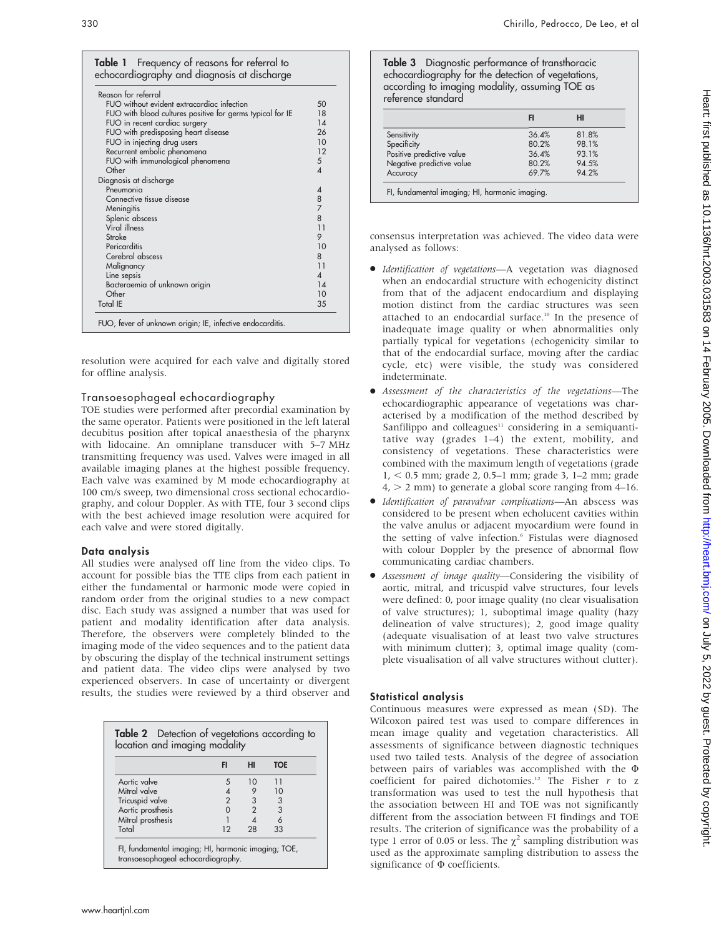Table 1 Frequency of reasons for referral to echocardiography and diagnosis at discharge

| Reason for referral<br>FUO without evident extracardiac infection | 50             |
|-------------------------------------------------------------------|----------------|
| FUO with blood cultures positive for germs typical for IE         | 18             |
| FUO in recent cardiac surgery                                     | 14             |
| FUO with predisposing heart disease                               | 26             |
| FUO in injecting drug users                                       | 10             |
| Recurrent embolic phenomena                                       | 12             |
| FUO with immunological phenomena                                  | 5              |
| Other                                                             | $\overline{A}$ |
| Diagnosis at discharge                                            |                |
| Pneumonia                                                         | 4              |
| Connective tissue disease                                         | $\frac{8}{7}$  |
| Meningitis                                                        |                |
| Splenic abscess                                                   | 8              |
| Viral illness                                                     | 11             |
| Stroke                                                            | 9              |
| Pericarditis                                                      | 10             |
| Cerebral abscess                                                  | 8              |
| Malignancy                                                        | 11             |
| Line sepsis                                                       | Δ              |
| Bacteraemia of unknown origin                                     | 14             |
| Other                                                             | 10             |
| <b>Total IE</b>                                                   | 35             |

resolution were acquired for each valve and digitally stored for offline analysis.

# Transoesophageal echocardiography

TOE studies were performed after precordial examination by the same operator. Patients were positioned in the left lateral decubitus position after topical anaesthesia of the pharynx with lidocaine. An omniplane transducer with 5–7 MHz transmitting frequency was used. Valves were imaged in all available imaging planes at the highest possible frequency. Each valve was examined by M mode echocardiography at 100 cm/s sweep, two dimensional cross sectional echocardiography, and colour Doppler. As with TTE, four 3 second clips with the best achieved image resolution were acquired for each valve and were stored digitally.

# Data analysis

All studies were analysed off line from the video clips. To account for possible bias the TTE clips from each patient in either the fundamental or harmonic mode were copied in random order from the original studies to a new compact disc. Each study was assigned a number that was used for patient and modality identification after data analysis. Therefore, the observers were completely blinded to the imaging mode of the video sequences and to the patient data by obscuring the display of the technical instrument settings and patient data. The video clips were analysed by two experienced observers. In case of uncertainty or divergent results, the studies were reviewed by a third observer and

|                   | FI             | HI             | <b>TOE</b>     |
|-------------------|----------------|----------------|----------------|
| Aortic valve      | .5             | 10             | 11             |
| Mitral valve      | 4              |                | 10             |
| Tricuspid valve   | $\overline{2}$ | 3              | $\overline{3}$ |
| Aortic prosthesis |                | $\overline{2}$ | 3              |
| Mitral prosthesis |                | $\overline{4}$ |                |
| Total             | 12             | 28             | 33             |

Table 3 Diagnostic performance of transthoracic echocardiography for the detection of vegetations, according to imaging modality, assuming TOE as reference standard

|                           | FI    | нı    |
|---------------------------|-------|-------|
| Sensitivity               | 36.4% | 81.8% |
| Specificity               | 80.2% | 98.1% |
| Positive predictive value | 36.4% | 93.1% |
| Negative predictive value | 80.2% | 94.5% |
| Accuracy                  | 69.7% | 94.2% |

consensus interpretation was achieved. The video data were analysed as follows:

- $\bullet$  Identification of vegetations—A vegetation was diagnosed when an endocardial structure with echogenicity distinct from that of the adjacent endocardium and displaying motion distinct from the cardiac structures was seen attached to an endocardial surface.<sup>10</sup> In the presence of inadequate image quality or when abnormalities only partially typical for vegetations (echogenicity similar to that of the endocardial surface, moving after the cardiac cycle, etc) were visible, the study was considered indeterminate.
- N Assessment of the characteristics of the vegetations—The echocardiographic appearance of vegetations was characterised by a modification of the method described by Sanfilippo and colleagues $11$  considering in a semiquantitative way (grades 1–4) the extent, mobility, and consistency of vegetations. These characteristics were combined with the maximum length of vegetations (grade  $1, < 0.5$  mm; grade 2, 0.5–1 mm; grade 3, 1–2 mm; grade  $4$ ,  $> 2$  mm) to generate a global score ranging from 4–16.
- $\bullet$  Identification of paravalvar complications-An abscess was considered to be present when echolucent cavities within the valve anulus or adjacent myocardium were found in the setting of valve infection.<sup>6</sup> Fistulas were diagnosed with colour Doppler by the presence of abnormal flow communicating cardiac chambers.
- $\bullet$  Assessment of image quality—Considering the visibility of aortic, mitral, and tricuspid valve structures, four levels were defined: 0, poor image quality (no clear visualisation of valve structures); 1, suboptimal image quality (hazy delineation of valve structures); 2, good image quality (adequate visualisation of at least two valve structures with minimum clutter); 3, optimal image quality (complete visualisation of all valve structures without clutter).

# Statistical analysis

Continuous measures were expressed as mean (SD). The Wilcoxon paired test was used to compare differences in mean image quality and vegetation characteristics. All assessments of significance between diagnostic techniques used two tailed tests. Analysis of the degree of association between pairs of variables was accomplished with the  $\Phi$ coefficient for paired dichotomies.<sup>12</sup> The Fisher  $r$  to z transformation was used to test the null hypothesis that the association between HI and TOE was not significantly different from the association between FI findings and TOE results. The criterion of significance was the probability of a type 1 error of 0.05 or less. The  $\chi^2$  sampling distribution was used as the approximate sampling distribution to assess the significance of  $\Phi$  coefficients.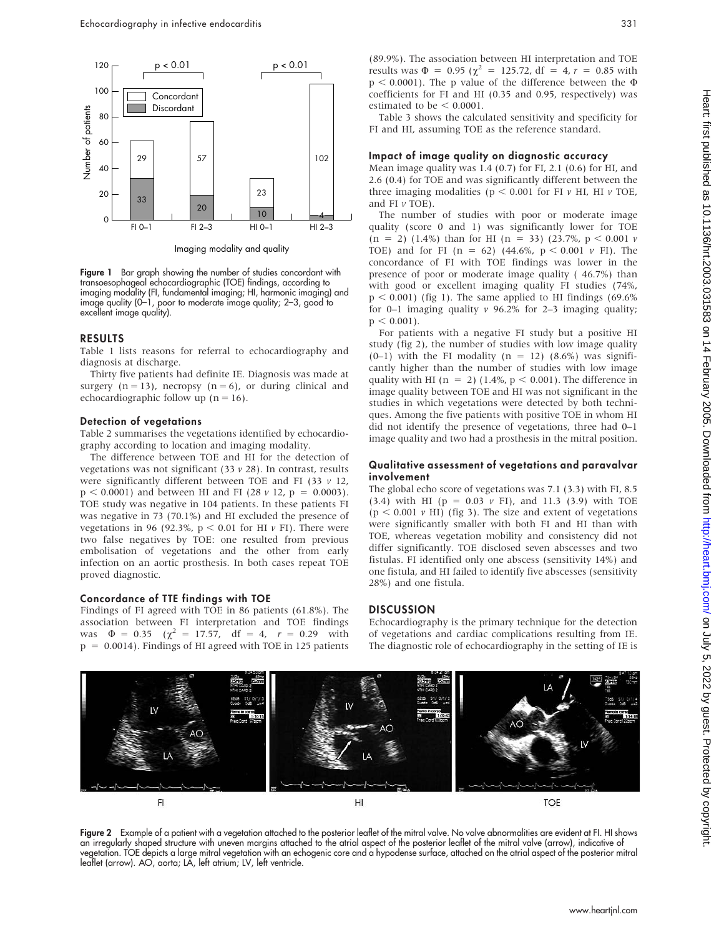

Imaging modality and quality

Figure 1 Bar graph showing the number of studies concordant with transoesophageal echocardiographic (TOE) findings, according to imaging modality (FI, fundamental imaging; HI, harmonic imaging) and image quality (0–1, poor to moderate image quality; 2–3, good to excellent image quality).

#### RESULTS

Table 1 lists reasons for referral to echocardiography and diagnosis at discharge.

Thirty five patients had definite IE. Diagnosis was made at surgery  $(n = 13)$ , necropsy  $(n = 6)$ , or during clinical and echocardiographic follow up ( $n = 16$ ).

#### Detection of vegetations

Table 2 summarises the vegetations identified by echocardiography according to location and imaging modality.

The difference between TOE and HI for the detection of vegetations was not significant  $(33 v 28)$ . In contrast, results were significantly different between TOE and FI (33  $\nu$  12,  $p < 0.0001$ ) and between HI and FI (28 v 12, p = 0.0003). TOE study was negative in 104 patients. In these patients FI was negative in 73 (70.1%) and HI excluded the presence of vegetations in 96 (92.3%,  $p < 0.01$  for HI  $\nu$  FI). There were two false negatives by TOE: one resulted from previous embolisation of vegetations and the other from early infection on an aortic prosthesis. In both cases repeat TOE proved diagnostic.

#### Concordance of TTE findings with TOE

Findings of FI agreed with TOE in 86 patients (61.8%). The association between FI interpretation and TOE findings was  $\Phi = 0.35$  ( $\chi^2 = 17.57$ , df = 4,  $r = 0.29$  with  $p = 0.0014$ ). Findings of HI agreed with TOE in 125 patients

(89.9%). The association between HI interpretation and TOE results was  $\Phi = 0.95$  ( $\chi^2 = 125.72$ , df = 4,  $r = 0.85$  with  $p < 0.0001$ ). The p value of the difference between the  $\Phi$ coefficients for FI and HI (0.35 and 0.95, respectively) was estimated to be  $< 0.0001$ .

Table 3 shows the calculated sensitivity and specificity for FI and HI, assuming TOE as the reference standard.

# Impact of image quality on diagnostic accuracy

Mean image quality was 1.4 (0.7) for FI, 2.1 (0.6) for HI, and 2.6 (0.4) for TOE and was significantly different between the three imaging modalities ( $p < 0.001$  for FI  $\nu$  HI, HI  $\nu$  TOE, and FI  $\nu$  TOE).

The number of studies with poor or moderate image quality (score 0 and 1) was significantly lower for TOE  $(n = 2)$  (1.4%) than for HI (n = 33) (23.7%, p < 0.001 v TOE) and for FI (n = 62) (44.6%,  $p < 0.001$  v FI). The concordance of FI with TOE findings was lower in the presence of poor or moderate image quality ( 46.7%) than with good or excellent imaging quality FI studies (74%,  $p < 0.001$ ) (fig 1). The same applied to HI findings (69.6%) for 0–1 imaging quality  $v$  96.2% for 2–3 imaging quality;  $p < 0.001$ ).

For patients with a negative FI study but a positive HI study (fig 2), the number of studies with low image quality  $(0-1)$  with the FI modality  $(n = 12)$   $(8.6%)$  was significantly higher than the number of studies with low image quality with HI ( $n = 2$ ) (1.4%,  $p < 0.001$ ). The difference in image quality between TOE and HI was not significant in the studies in which vegetations were detected by both techniques. Among the five patients with positive TOE in whom HI did not identify the presence of vegetations, three had 0–1 image quality and two had a prosthesis in the mitral position.

### Qualitative assessment of vegetations and paravalvar involvement

The global echo score of vegetations was 7.1 (3.3) with FI, 8.5 (3.4) with HI ( $p = 0.03$   $\nu$  FI), and 11.3 (3.9) with TOE  $(p < 0.001 \nu$  HI) (fig 3). The size and extent of vegetations were significantly smaller with both FI and HI than with TOE, whereas vegetation mobility and consistency did not differ significantly. TOE disclosed seven abscesses and two fistulas. FI identified only one abscess (sensitivity 14%) and one fistula, and HI failed to identify five abscesses (sensitivity 28%) and one fistula.

## **DISCUSSION**

Echocardiography is the primary technique for the detection of vegetations and cardiac complications resulting from IE. The diagnostic role of echocardiography in the setting of IE is



Figure 2 Example of a patient with a vegetation attached to the posterior leaflet of the mitral valve. No valve abnormalities are evident at FI. HI shows an irregularly shaped structure with uneven margins attached to the atrial aspect of the posterior leaflet of the mitral valve (arrow), indicative of vegetation. TOE depicts a large mitral vegetation with an echogenic core and a hypodense surface, attached on the atrial aspect of the posterior mitral leaflet (arrow). AO, aorta; LA, left atrium; LV, left ventricle.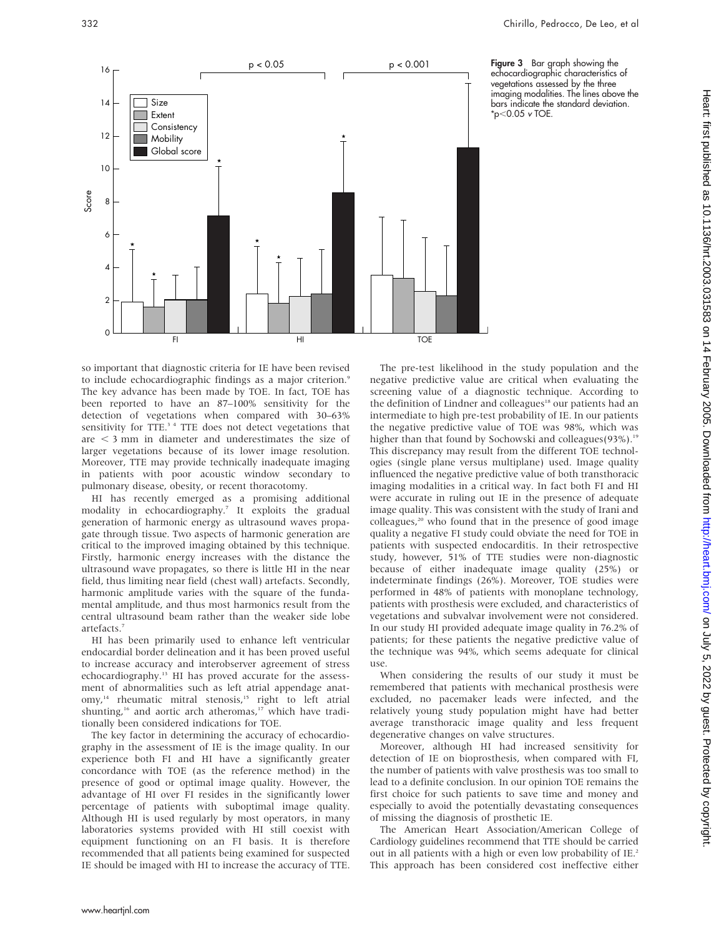



so important that diagnostic criteria for IE have been revised to include echocardiographic findings as a major criterion.<sup>9</sup> The key advance has been made by TOE. In fact, TOE has been reported to have an 87–100% sensitivity for the detection of vegetations when compared with 30–63% sensitivity for TTE.<sup>34</sup> TTE does not detect vegetations that are  $\leq$  3 mm in diameter and underestimates the size of larger vegetations because of its lower image resolution. Moreover, TTE may provide technically inadequate imaging in patients with poor acoustic window secondary to pulmonary disease, obesity, or recent thoracotomy.

HI has recently emerged as a promising additional modality in echocardiography.7 It exploits the gradual generation of harmonic energy as ultrasound waves propagate through tissue. Two aspects of harmonic generation are critical to the improved imaging obtained by this technique. Firstly, harmonic energy increases with the distance the ultrasound wave propagates, so there is little HI in the near field, thus limiting near field (chest wall) artefacts. Secondly, harmonic amplitude varies with the square of the fundamental amplitude, and thus most harmonics result from the central ultrasound beam rather than the weaker side lobe artefacts.7

HI has been primarily used to enhance left ventricular endocardial border delineation and it has been proved useful to increase accuracy and interobserver agreement of stress echocardiography.13 HI has proved accurate for the assessment of abnormalities such as left atrial appendage anatomy,<sup>14</sup> rheumatic mitral stenosis,<sup>15</sup> right to left atrial shunting,<sup>16</sup> and aortic arch atheromas,<sup>17</sup> which have traditionally been considered indications for TOE.

The key factor in determining the accuracy of echocardiography in the assessment of IE is the image quality. In our experience both FI and HI have a significantly greater concordance with TOE (as the reference method) in the presence of good or optimal image quality. However, the advantage of HI over FI resides in the significantly lower percentage of patients with suboptimal image quality. Although HI is used regularly by most operators, in many laboratories systems provided with HI still coexist with equipment functioning on an FI basis. It is therefore recommended that all patients being examined for suspected IE should be imaged with HI to increase the accuracy of TTE.

The pre-test likelihood in the study population and the negative predictive value are critical when evaluating the screening value of a diagnostic technique. According to the definition of Lindner and colleagues<sup>18</sup> our patients had an intermediate to high pre-test probability of IE. In our patients the negative predictive value of TOE was 98%, which was higher than that found by Sochowski and colleagues(93%).<sup>19</sup> This discrepancy may result from the different TOE technologies (single plane versus multiplane) used. Image quality influenced the negative predictive value of both transthoracic imaging modalities in a critical way. In fact both FI and HI were accurate in ruling out IE in the presence of adequate image quality. This was consistent with the study of Irani and colleagues,20 who found that in the presence of good image quality a negative FI study could obviate the need for TOE in patients with suspected endocarditis. In their retrospective study, however, 51% of TTE studies were non-diagnostic because of either inadequate image quality (25%) or indeterminate findings (26%). Moreover, TOE studies were performed in 48% of patients with monoplane technology, patients with prosthesis were excluded, and characteristics of vegetations and subvalvar involvement were not considered. In our study HI provided adequate image quality in 76.2% of patients; for these patients the negative predictive value of the technique was 94%, which seems adequate for clinical  $11S<sub>e</sub>$ 

When considering the results of our study it must be remembered that patients with mechanical prosthesis were excluded, no pacemaker leads were infected, and the relatively young study population might have had better average transthoracic image quality and less frequent degenerative changes on valve structures.

Moreover, although HI had increased sensitivity for detection of IE on bioprosthesis, when compared with FI, the number of patients with valve prosthesis was too small to lead to a definite conclusion. In our opinion TOE remains the first choice for such patients to save time and money and especially to avoid the potentially devastating consequences of missing the diagnosis of prosthetic IE.

The American Heart Association/American College of Cardiology guidelines recommend that TTE should be carried out in all patients with a high or even low probability of IE.<sup>2</sup> This approach has been considered cost ineffective either